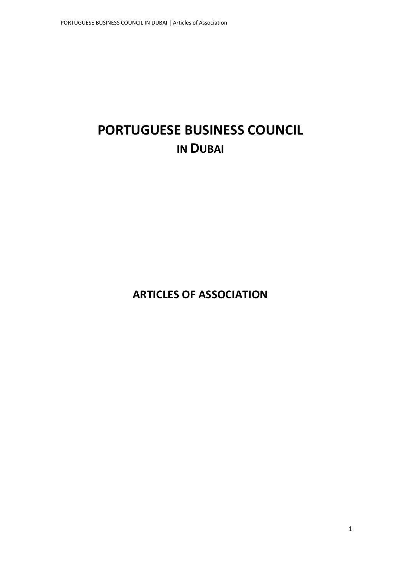# **PORTUGUESE BUSINESS COUNCIL IN DUBAI**

**ARTICLES OF ASSOCIATION**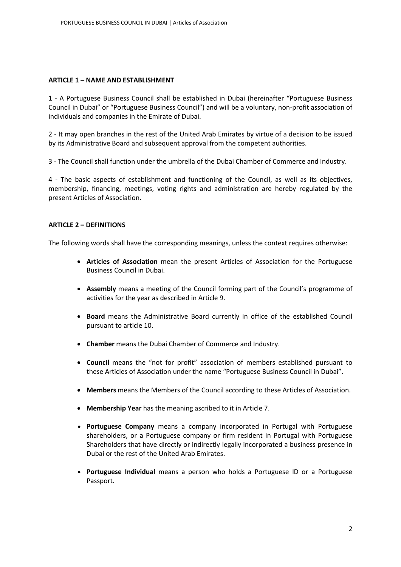#### **ARTICLE 1 – NAME AND ESTABLISHMENT**

1 - A Portuguese Business Council shall be established in Dubai (hereinafter "Portuguese Business Council in Dubai" or "Portuguese Business Council") and will be a voluntary, non-profit association of individuals and companies in the Emirate of Dubai.

2 - It may open branches in the rest of the United Arab Emirates by virtue of a decision to be issued by its Administrative Board and subsequent approval from the competent authorities.

3 - The Council shall function under the umbrella of the Dubai Chamber of Commerce and Industry.

4 - The basic aspects of establishment and functioning of the Council, as well as its objectives, membership, financing, meetings, voting rights and administration are hereby regulated by the present Articles of Association.

## **ARTICLE 2 – DEFINITIONS**

The following words shall have the corresponding meanings, unless the context requires otherwise:

- **Articles of Association** mean the present Articles of Association for the Portuguese Business Council in Dubai.
- **Assembly** means a meeting of the Council forming part of the Council's programme of activities for the year as described in Article 9.
- **Board** means the Administrative Board currently in office of the established Council pursuant to article 10.
- **Chamber** means the Dubai Chamber of Commerce and Industry.
- **Council** means the "not for profit" association of members established pursuant to these Articles of Association under the name "Portuguese Business Council in Dubai".
- **Members** means the Members of the Council according to these Articles of Association.
- **Membership Year** has the meaning ascribed to it in Article 7.
- **Portuguese Company** means a company incorporated in Portugal with Portuguese shareholders, or a Portuguese company or firm resident in Portugal with Portuguese Shareholders that have directly or indirectly legally incorporated a business presence in Dubai or the rest of the United Arab Emirates.
- **Portuguese Individual** means a person who holds a Portuguese ID or a Portuguese Passport.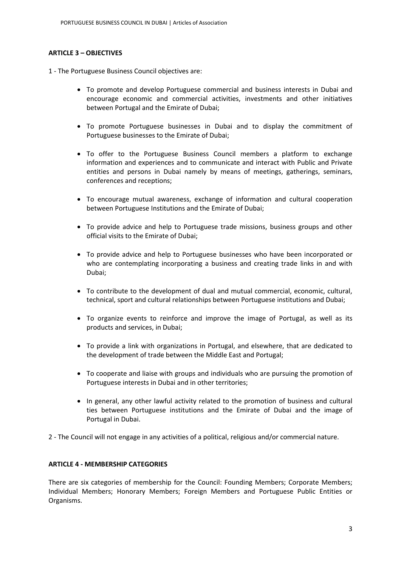# **ARTICLE 3 – OBJECTIVES**

1 - The Portuguese Business Council objectives are:

- To promote and develop Portuguese commercial and business interests in Dubai and encourage economic and commercial activities, investments and other initiatives between Portugal and the Emirate of Dubai;
- To promote Portuguese businesses in Dubai and to display the commitment of Portuguese businesses to the Emirate of Dubai;
- To offer to the Portuguese Business Council members a platform to exchange information and experiences and to communicate and interact with Public and Private entities and persons in Dubai namely by means of meetings, gatherings, seminars, conferences and receptions;
- To encourage mutual awareness, exchange of information and cultural cooperation between Portuguese Institutions and the Emirate of Dubai;
- To provide advice and help to Portuguese trade missions, business groups and other official visits to the Emirate of Dubai;
- To provide advice and help to Portuguese businesses who have been incorporated or who are contemplating incorporating a business and creating trade links in and with Dubai;
- To contribute to the development of dual and mutual commercial, economic, cultural, technical, sport and cultural relationships between Portuguese institutions and Dubai;
- To organize events to reinforce and improve the image of Portugal, as well as its products and services, in Dubai;
- To provide a link with organizations in Portugal, and elsewhere, that are dedicated to the development of trade between the Middle East and Portugal;
- To cooperate and liaise with groups and individuals who are pursuing the promotion of Portuguese interests in Dubai and in other territories;
- In general, any other lawful activity related to the promotion of business and cultural ties between Portuguese institutions and the Emirate of Dubai and the image of Portugal in Dubai.

2 - The Council will not engage in any activities of a political, religious and/or commercial nature.

## **ARTICLE 4 - MEMBERSHIP CATEGORIES**

There are six categories of membership for the Council: Founding Members; Corporate Members; Individual Members; Honorary Members; Foreign Members and Portuguese Public Entities or Organisms.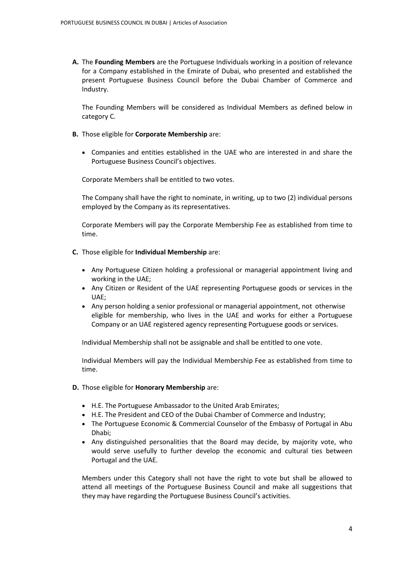**A.** The **Founding Members** are the Portuguese Individuals working in a position of relevance for a Company established in the Emirate of Dubai, who presented and established the present Portuguese Business Council before the Dubai Chamber of Commerce and Industry.

The Founding Members will be considered as Individual Members as defined below in category C.

- **B.** Those eligible for **Corporate Membership** are:
	- Companies and entities established in the UAE who are interested in and share the Portuguese Business Council's objectives.

Corporate Members shall be entitled to two votes.

The Company shall have the right to nominate, in writing, up to two (2) individual persons employed by the Company as its representatives.

Corporate Members will pay the Corporate Membership Fee as established from time to time.

- **C.** Those eligible for **Individual Membership** are:
	- Any Portuguese Citizen holding a professional or managerial appointment living and working in the UAE;
	- Any Citizen or Resident of the UAE representing Portuguese goods or services in the UAE;
	- Any person holding a senior professional or managerial appointment, not otherwise eligible for membership, who lives in the UAE and works for either a Portuguese Company or an UAE registered agency representing Portuguese goods or services.

Individual Membership shall not be assignable and shall be entitled to one vote.

Individual Members will pay the Individual Membership Fee as established from time to time.

- **D.** Those eligible for **Honorary Membership** are:
	- H.E. The Portuguese Ambassador to the United Arab Emirates;
	- H.E. The President and CEO of the Dubai Chamber of Commerce and Industry;
	- The Portuguese Economic & Commercial Counselor of the Embassy of Portugal in Abu Dhabi;
	- Any distinguished personalities that the Board may decide, by majority vote, who would serve usefully to further develop the economic and cultural ties between Portugal and the UAE.

Members under this Category shall not have the right to vote but shall be allowed to attend all meetings of the Portuguese Business Council and make all suggestions that they may have regarding the Portuguese Business Council's activities.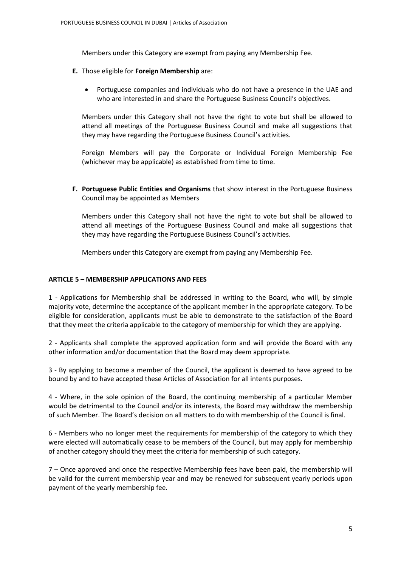Members under this Category are exempt from paying any Membership Fee.

- **E.** Those eligible for **Foreign Membership** are:
	- Portuguese companies and individuals who do not have a presence in the UAE and who are interested in and share the Portuguese Business Council's objectives.

Members under this Category shall not have the right to vote but shall be allowed to attend all meetings of the Portuguese Business Council and make all suggestions that they may have regarding the Portuguese Business Council's activities.

Foreign Members will pay the Corporate or Individual Foreign Membership Fee (whichever may be applicable) as established from time to time.

**F. Portuguese Public Entities and Organisms** that show interest in the Portuguese Business Council may be appointed as Members

Members under this Category shall not have the right to vote but shall be allowed to attend all meetings of the Portuguese Business Council and make all suggestions that they may have regarding the Portuguese Business Council's activities.

Members under this Category are exempt from paying any Membership Fee.

#### **ARTICLE 5 – MEMBERSHIP APPLICATIONS AND FEES**

1 - Applications for Membership shall be addressed in writing to the Board, who will, by simple majority vote, determine the acceptance of the applicant member in the appropriate category. To be eligible for consideration, applicants must be able to demonstrate to the satisfaction of the Board that they meet the criteria applicable to the category of membership for which they are applying.

2 - Applicants shall complete the approved application form and will provide the Board with any other information and/or documentation that the Board may deem appropriate.

3 - By applying to become a member of the Council, the applicant is deemed to have agreed to be bound by and to have accepted these Articles of Association for all intents purposes.

4 - Where, in the sole opinion of the Board, the continuing membership of a particular Member would be detrimental to the Council and/or its interests, the Board may withdraw the membership of such Member. The Board's decision on all matters to do with membership of the Council is final.

6 - Members who no longer meet the requirements for membership of the category to which they were elected will automatically cease to be members of the Council, but may apply for membership of another category should they meet the criteria for membership of such category.

7 – Once approved and once the respective Membership fees have been paid, the membership will be valid for the current membership year and may be renewed for subsequent yearly periods upon payment of the yearly membership fee.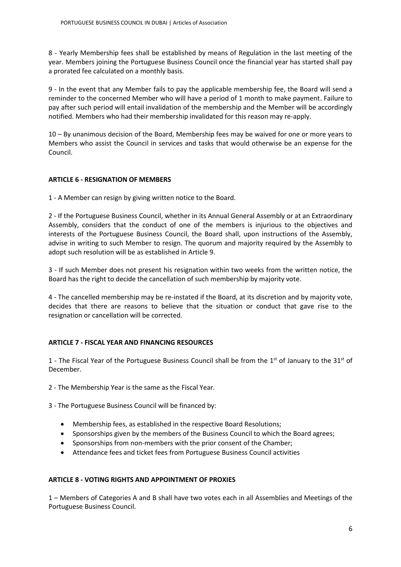8 - Yearly Membership fees shall be established by means of Regulation in the last meeting of the year. Members joining the Portuguese Business Council once the financial year has started shall pay a prorated fee calculated on a monthly basis.

9 - In the event that any Member fails to pay the applicable membership fee, the Board will send a reminder to the concerned Member who will have a period of 1 month to make payment. Failure to pay after such period will entail invalidation of the membership and the Member will be accordingly notified. Members who had their membership invalidated for this reason may re-apply.

10 – By unanimous decision of the Board, Membership fees may be waived for one or more years to Members who assist the Council in services and tasks that would otherwise be an expense for the Council.

# **ARTICLE 6 - RESIGNATION OF MEMBERS**

1 - A Member can resign by giving written notice to the Board.

2 - If the Portuguese Business Council, whether in its Annual General Assembly or at an Extraordinary Assembly, considers that the conduct of one of the members is injurious to the objectives and interests of the Portuguese Business Council, the Board shall, upon instructions of the Assembly, advise in writing to such Member to resign. The quorum and majority required by the Assembly to adopt such resolution will be as established in Article 9.

3 - If such Member does not present his resignation within two weeks from the written notice, the Board has the right to decide the cancellation of such membership by majority vote.

4 - The cancelled membership may be re-instated if the Board, at its discretion and by majority vote, decides that there are reasons to believe that the situation or conduct that gave rise to the resignation or cancellation will be corrected.

## **ARTICLE 7 - FISCAL YEAR AND FINANCING RESOURCES**

1 - The Fiscal Year of the Portuguese Business Council shall be from the  $1<sup>st</sup>$  of January to the 31 $<sup>st</sup>$  of</sup> December.

2 - The Membership Year is the same as the Fiscal Year.

3 - The Portuguese Business Council will be financed by:

- Membership fees, as established in the respective Board Resolutions;
- Sponsorships given by the members of the Business Council to which the Board agrees;
- Sponsorships from non-members with the prior consent of the Chamber;
- Attendance fees and ticket fees from Portuguese Business Council activities

## **ARTICLE 8 - VOTING RIGHTS AND APPOINTMENT OF PROXIES**

1 – Members of Categories A and B shall have two votes each in all Assemblies and Meetings of the Portuguese Business Council.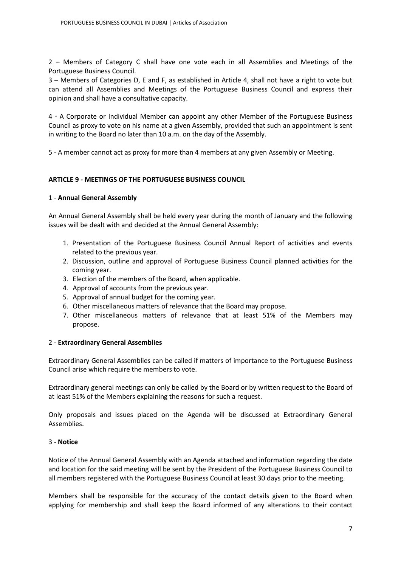2 – Members of Category C shall have one vote each in all Assemblies and Meetings of the Portuguese Business Council.

3 – Members of Categories D, E and F, as established in Article 4, shall not have a right to vote but can attend all Assemblies and Meetings of the Portuguese Business Council and express their opinion and shall have a consultative capacity.

4 - A Corporate or Individual Member can appoint any other Member of the Portuguese Business Council as proxy to vote on his name at a given Assembly, provided that such an appointment is sent in writing to the Board no later than 10 a.m. on the day of the Assembly.

5 - A member cannot act as proxy for more than 4 members at any given Assembly or Meeting.

## **ARTICLE 9 - MEETINGS OF THE PORTUGUESE BUSINESS COUNCIL**

#### 1 - **Annual General Assembly**

An Annual General Assembly shall be held every year during the month of January and the following issues will be dealt with and decided at the Annual General Assembly:

- 1. Presentation of the Portuguese Business Council Annual Report of activities and events related to the previous year.
- 2. Discussion, outline and approval of Portuguese Business Council planned activities for the coming year.
- 3. Election of the members of the Board, when applicable.
- 4. Approval of accounts from the previous year.
- 5. Approval of annual budget for the coming year.
- 6. Other miscellaneous matters of relevance that the Board may propose.
- 7. Other miscellaneous matters of relevance that at least 51% of the Members may propose.

## 2 - **Extraordinary General Assemblies**

Extraordinary General Assemblies can be called if matters of importance to the Portuguese Business Council arise which require the members to vote.

Extraordinary general meetings can only be called by the Board or by written request to the Board of at least 51% of the Members explaining the reasons for such a request.

Only proposals and issues placed on the Agenda will be discussed at Extraordinary General Assemblies.

## 3 - **Notice**

Notice of the Annual General Assembly with an Agenda attached and information regarding the date and location for the said meeting will be sent by the President of the Portuguese Business Council to all members registered with the Portuguese Business Council at least 30 days prior to the meeting.

Members shall be responsible for the accuracy of the contact details given to the Board when applying for membership and shall keep the Board informed of any alterations to their contact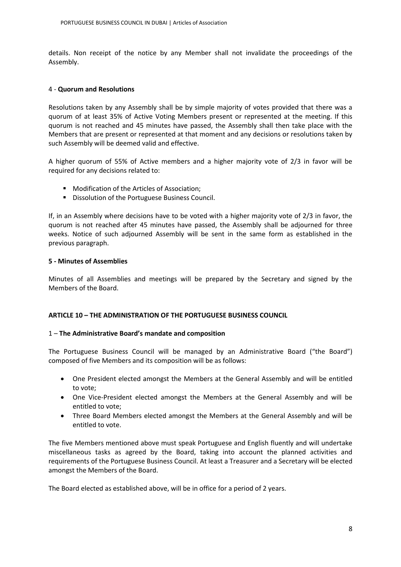details. Non receipt of the notice by any Member shall not invalidate the proceedings of the Assembly.

## 4 - **Quorum and Resolutions**

Resolutions taken by any Assembly shall be by simple majority of votes provided that there was a quorum of at least 35% of Active Voting Members present or represented at the meeting. If this quorum is not reached and 45 minutes have passed, the Assembly shall then take place with the Members that are present or represented at that moment and any decisions or resolutions taken by such Assembly will be deemed valid and effective.

A higher quorum of 55% of Active members and a higher majority vote of 2/3 in favor will be required for any decisions related to:

- **Modification of the Articles of Association;**
- **Dissolution of the Portuguese Business Council.**

If, in an Assembly where decisions have to be voted with a higher majority vote of 2/3 in favor, the quorum is not reached after 45 minutes have passed, the Assembly shall be adjourned for three weeks. Notice of such adjourned Assembly will be sent in the same form as established in the previous paragraph.

## **5 - Minutes of Assemblies**

Minutes of all Assemblies and meetings will be prepared by the Secretary and signed by the Members of the Board.

## **ARTICLE 10 – THE ADMINISTRATION OF THE PORTUGUESE BUSINESS COUNCIL**

## 1 – **The Administrative Board's mandate and composition**

The Portuguese Business Council will be managed by an Administrative Board ("the Board") composed of five Members and its composition will be as follows:

- One President elected amongst the Members at the General Assembly and will be entitled to vote;
- One Vice-President elected amongst the Members at the General Assembly and will be entitled to vote;
- Three Board Members elected amongst the Members at the General Assembly and will be entitled to vote.

The five Members mentioned above must speak Portuguese and English fluently and will undertake miscellaneous tasks as agreed by the Board, taking into account the planned activities and requirements of the Portuguese Business Council. At least a Treasurer and a Secretary will be elected amongst the Members of the Board.

The Board elected as established above, will be in office for a period of 2 years.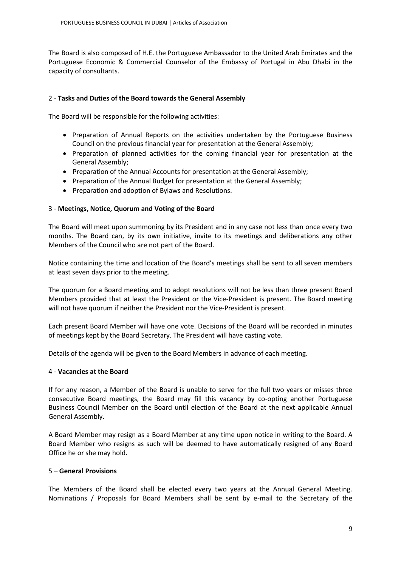The Board is also composed of H.E. the Portuguese Ambassador to the United Arab Emirates and the Portuguese Economic & Commercial Counselor of the Embassy of Portugal in Abu Dhabi in the capacity of consultants.

# 2 - **Tasks and Duties of the Board towards the General Assembly**

The Board will be responsible for the following activities:

- Preparation of Annual Reports on the activities undertaken by the Portuguese Business Council on the previous financial year for presentation at the General Assembly;
- Preparation of planned activities for the coming financial year for presentation at the General Assembly;
- Preparation of the Annual Accounts for presentation at the General Assembly;
- Preparation of the Annual Budget for presentation at the General Assembly;
- Preparation and adoption of Bylaws and Resolutions.

# 3 - **Meetings, Notice, Quorum and Voting of the Board**

The Board will meet upon summoning by its President and in any case not less than once every two months. The Board can, by its own initiative, invite to its meetings and deliberations any other Members of the Council who are not part of the Board.

Notice containing the time and location of the Board's meetings shall be sent to all seven members at least seven days prior to the meeting.

The quorum for a Board meeting and to adopt resolutions will not be less than three present Board Members provided that at least the President or the Vice-President is present. The Board meeting will not have quorum if neither the President nor the Vice-President is present.

Each present Board Member will have one vote. Decisions of the Board will be recorded in minutes of meetings kept by the Board Secretary. The President will have casting vote.

Details of the agenda will be given to the Board Members in advance of each meeting.

## 4 - **Vacancies at the Board**

If for any reason, a Member of the Board is unable to serve for the full two years or misses three consecutive Board meetings, the Board may fill this vacancy by co-opting another Portuguese Business Council Member on the Board until election of the Board at the next applicable Annual General Assembly.

A Board Member may resign as a Board Member at any time upon notice in writing to the Board. A Board Member who resigns as such will be deemed to have automatically resigned of any Board Office he or she may hold.

## 5 – **General Provisions**

The Members of the Board shall be elected every two years at the Annual General Meeting. Nominations / Proposals for Board Members shall be sent by e-mail to the Secretary of the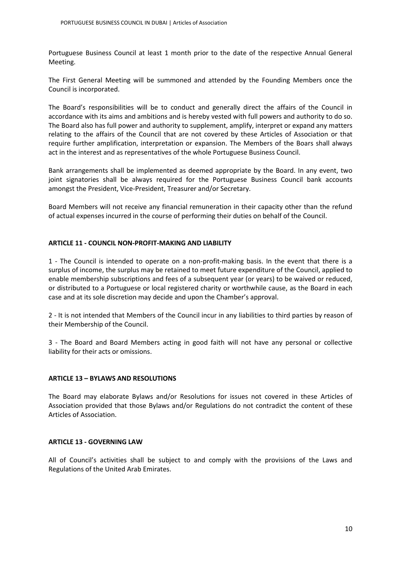Portuguese Business Council at least 1 month prior to the date of the respective Annual General Meeting.

The First General Meeting will be summoned and attended by the Founding Members once the Council is incorporated.

The Board's responsibilities will be to conduct and generally direct the affairs of the Council in accordance with its aims and ambitions and is hereby vested with full powers and authority to do so. The Board also has full power and authority to supplement, amplify, interpret or expand any matters relating to the affairs of the Council that are not covered by these Articles of Association or that require further amplification, interpretation or expansion. The Members of the Boars shall always act in the interest and as representatives of the whole Portuguese Business Council.

Bank arrangements shall be implemented as deemed appropriate by the Board. In any event, two joint signatories shall be always required for the Portuguese Business Council bank accounts amongst the President, Vice-President, Treasurer and/or Secretary.

Board Members will not receive any financial remuneration in their capacity other than the refund of actual expenses incurred in the course of performing their duties on behalf of the Council.

## **ARTICLE 11 - COUNCIL NON-PROFIT-MAKING AND LIABILITY**

1 - The Council is intended to operate on a non-profit-making basis. In the event that there is a surplus of income, the surplus may be retained to meet future expenditure of the Council, applied to enable membership subscriptions and fees of a subsequent year (or years) to be waived or reduced, or distributed to a Portuguese or local registered charity or worthwhile cause, as the Board in each case and at its sole discretion may decide and upon the Chamber's approval.

2 - It is not intended that Members of the Council incur in any liabilities to third parties by reason of their Membership of the Council.

3 - The Board and Board Members acting in good faith will not have any personal or collective liability for their acts or omissions.

## **ARTICLE 13 – BYLAWS AND RESOLUTIONS**

The Board may elaborate Bylaws and/or Resolutions for issues not covered in these Articles of Association provided that those Bylaws and/or Regulations do not contradict the content of these Articles of Association.

## **ARTICLE 13 - GOVERNING LAW**

All of Council's activities shall be subject to and comply with the provisions of the Laws and Regulations of the United Arab Emirates.